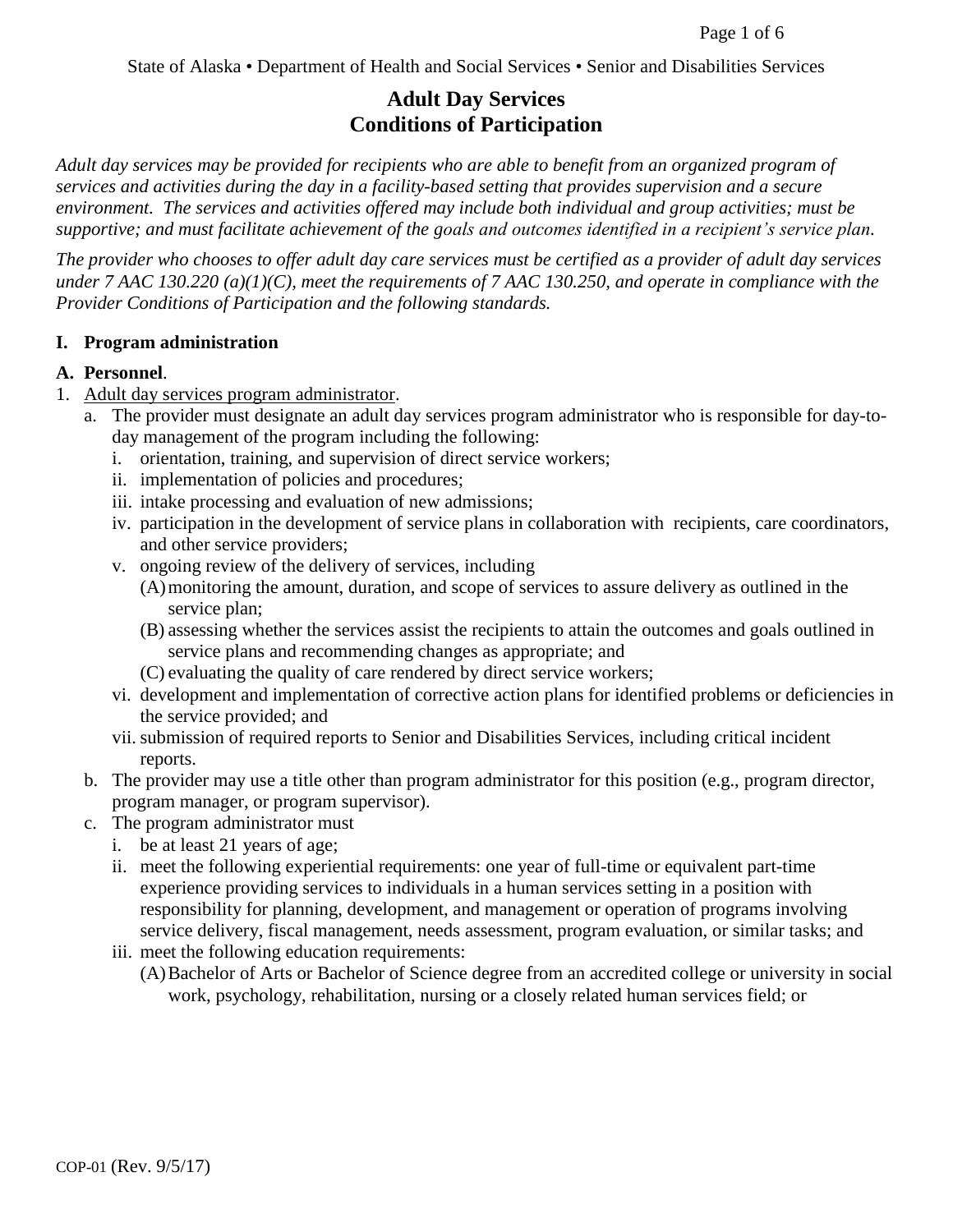State of Alaska • Department of Health and Social Services • Senior and Disabilities Services

# **Adult Day Services Conditions of Participation**

*Adult day services may be provided for recipients who are able to benefit from an organized program of services and activities during the day in a facility-based setting that provides supervision and a secure environment. The services and activities offered may include both individual and group activities; must be supportive; and must facilitate achievement of the goals and outcomes identified in a recipient's service plan.*

*The provider who chooses to offer adult day care services must be certified as a provider of adult day services under 7 AAC 130.220 (a)(1)(C), meet the requirements of 7 AAC 130.250, and operate in compliance with the Provider Conditions of Participation and the following standards.*

#### **I. Program administration**

#### **A. Personnel**.

- 1. Adult day services program administrator.
	- a. The provider must designate an adult day services program administrator who is responsible for day-today management of the program including the following:
		- i. orientation, training, and supervision of direct service workers;
		- ii. implementation of policies and procedures;
		- iii. intake processing and evaluation of new admissions;
		- iv. participation in the development of service plans in collaboration with recipients, care coordinators, and other service providers;
		- v. ongoing review of the delivery of services, including
			- (A)monitoring the amount, duration, and scope of services to assure delivery as outlined in the service plan;
			- (B) assessing whether the services assist the recipients to attain the outcomes and goals outlined in service plans and recommending changes as appropriate; and
			- (C) evaluating the quality of care rendered by direct service workers;
		- vi. development and implementation of corrective action plans for identified problems or deficiencies in the service provided; and
		- vii.submission of required reports to Senior and Disabilities Services, including critical incident reports.
	- b. The provider may use a title other than program administrator for this position (e.g., program director, program manager, or program supervisor).
	- c. The program administrator must
		- i. be at least 21 years of age;
		- ii. meet the following experiential requirements: one year of full-time or equivalent part-time experience providing services to individuals in a human services setting in a position with responsibility for planning, development, and management or operation of programs involving service delivery, fiscal management, needs assessment, program evaluation, or similar tasks; and
		- iii. meet the following education requirements:
			- (A)Bachelor of Arts or Bachelor of Science degree from an accredited college or university in social work, psychology, rehabilitation, nursing or a closely related human services field; or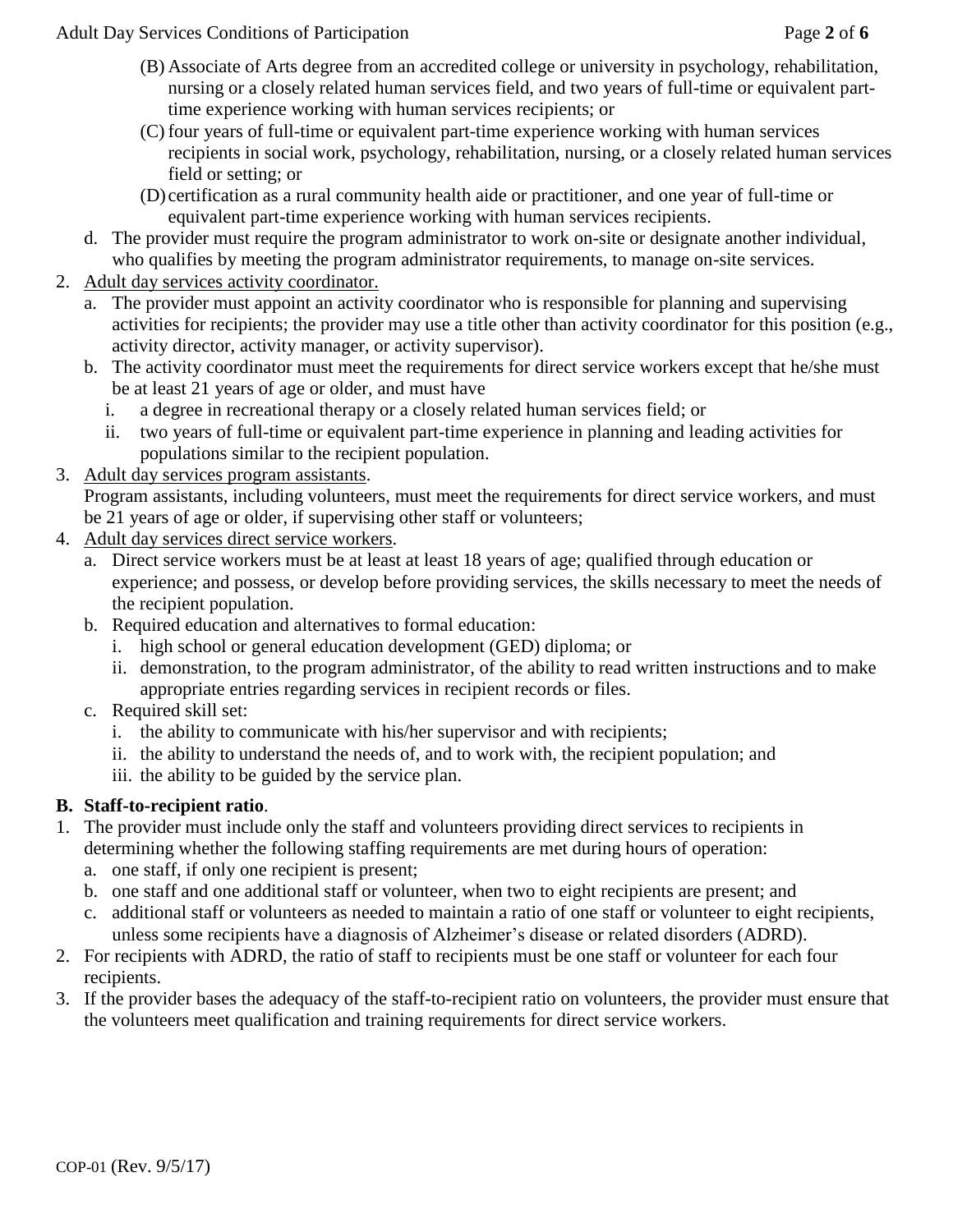Adult Day Services Conditions of Participation Page **2** of **6**

- (B) Associate of Arts degree from an accredited college or university in psychology, rehabilitation, nursing or a closely related human services field, and two years of full-time or equivalent parttime experience working with human services recipients; or
- (C) four years of full-time or equivalent part-time experience working with human services recipients in social work, psychology, rehabilitation, nursing, or a closely related human services field or setting; or
- (D) certification as a rural community health aide or practitioner, and one year of full-time or equivalent part-time experience working with human services recipients.
- d. The provider must require the program administrator to work on-site or designate another individual, who qualifies by meeting the program administrator requirements, to manage on-site services.
- 2. Adult day services activity coordinator.
	- a. The provider must appoint an activity coordinator who is responsible for planning and supervising activities for recipients; the provider may use a title other than activity coordinator for this position (e.g., activity director, activity manager, or activity supervisor).
	- b. The activity coordinator must meet the requirements for direct service workers except that he/she must be at least 21 years of age or older, and must have
		- i. a degree in recreational therapy or a closely related human services field; or
		- ii. two years of full-time or equivalent part-time experience in planning and leading activities for populations similar to the recipient population.
- 3. Adult day services program assistants.

Program assistants, including volunteers, must meet the requirements for direct service workers, and must be 21 years of age or older, if supervising other staff or volunteers;

- 4. Adult day services direct service workers.
	- a. Direct service workers must be at least at least 18 years of age; qualified through education or experience; and possess, or develop before providing services, the skills necessary to meet the needs of the recipient population.
	- b. Required education and alternatives to formal education:
		- i. high school or general education development (GED) diploma; or
		- ii. demonstration, to the program administrator, of the ability to read written instructions and to make appropriate entries regarding services in recipient records or files.
	- c. Required skill set:
		- i. the ability to communicate with his/her supervisor and with recipients;
		- ii. the ability to understand the needs of, and to work with, the recipient population; and
		- iii. the ability to be guided by the service plan.

# **B. Staff-to-recipient ratio**.

- 1. The provider must include only the staff and volunteers providing direct services to recipients in determining whether the following staffing requirements are met during hours of operation:
	- a. one staff, if only one recipient is present;
	- b. one staff and one additional staff or volunteer, when two to eight recipients are present; and
	- c. additional staff or volunteers as needed to maintain a ratio of one staff or volunteer to eight recipients, unless some recipients have a diagnosis of Alzheimer's disease or related disorders (ADRD).
- 2. For recipients with ADRD, the ratio of staff to recipients must be one staff or volunteer for each four recipients.
- 3. If the provider bases the adequacy of the staff-to-recipient ratio on volunteers, the provider must ensure that the volunteers meet qualification and training requirements for direct service workers.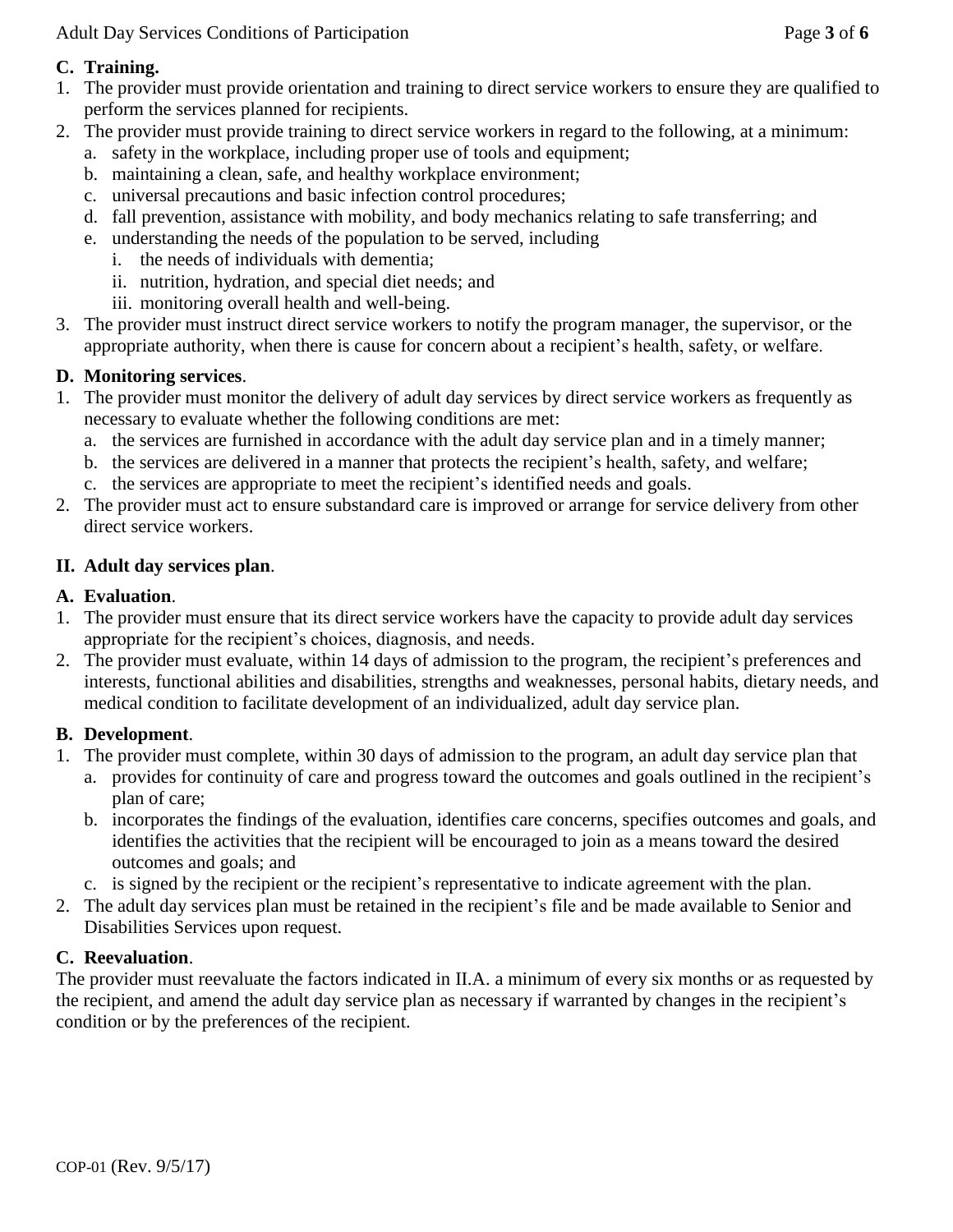Adult Day Services Conditions of Participation Page **3** of **6**

### **C. Training.**

- 1. The provider must provide orientation and training to direct service workers to ensure they are qualified to perform the services planned for recipients.
- 2. The provider must provide training to direct service workers in regard to the following, at a minimum:
	- a. safety in the workplace, including proper use of tools and equipment;
	- b. maintaining a clean, safe, and healthy workplace environment;
	- c. universal precautions and basic infection control procedures;
	- d. fall prevention, assistance with mobility, and body mechanics relating to safe transferring; and
	- e. understanding the needs of the population to be served, including
		- i. the needs of individuals with dementia;
		- ii. nutrition, hydration, and special diet needs; and
		- iii. monitoring overall health and well-being.
- 3. The provider must instruct direct service workers to notify the program manager, the supervisor, or the appropriate authority, when there is cause for concern about a recipient's health, safety, or welfare.

# **D. Monitoring services**.

- 1. The provider must monitor the delivery of adult day services by direct service workers as frequently as necessary to evaluate whether the following conditions are met:
	- a. the services are furnished in accordance with the adult day service plan and in a timely manner;
	- b. the services are delivered in a manner that protects the recipient's health, safety, and welfare;
	- c. the services are appropriate to meet the recipient's identified needs and goals.
- 2. The provider must act to ensure substandard care is improved or arrange for service delivery from other direct service workers.

# **II. Adult day services plan**.

# **A. Evaluation**.

- 1. The provider must ensure that its direct service workers have the capacity to provide adult day services appropriate for the recipient's choices, diagnosis, and needs.
- 2. The provider must evaluate, within 14 days of admission to the program, the recipient's preferences and interests, functional abilities and disabilities, strengths and weaknesses, personal habits, dietary needs, and medical condition to facilitate development of an individualized, adult day service plan.

# **B. Development**.

- 1. The provider must complete, within 30 days of admission to the program, an adult day service plan that
	- a. provides for continuity of care and progress toward the outcomes and goals outlined in the recipient's plan of care;
	- b. incorporates the findings of the evaluation, identifies care concerns, specifies outcomes and goals, and identifies the activities that the recipient will be encouraged to join as a means toward the desired outcomes and goals; and
	- c. is signed by the recipient or the recipient's representative to indicate agreement with the plan.
- 2. The adult day services plan must be retained in the recipient's file and be made available to Senior and Disabilities Services upon request.

# **C. Reevaluation**.

The provider must reevaluate the factors indicated in II.A. a minimum of every six months or as requested by the recipient, and amend the adult day service plan as necessary if warranted by changes in the recipient's condition or by the preferences of the recipient.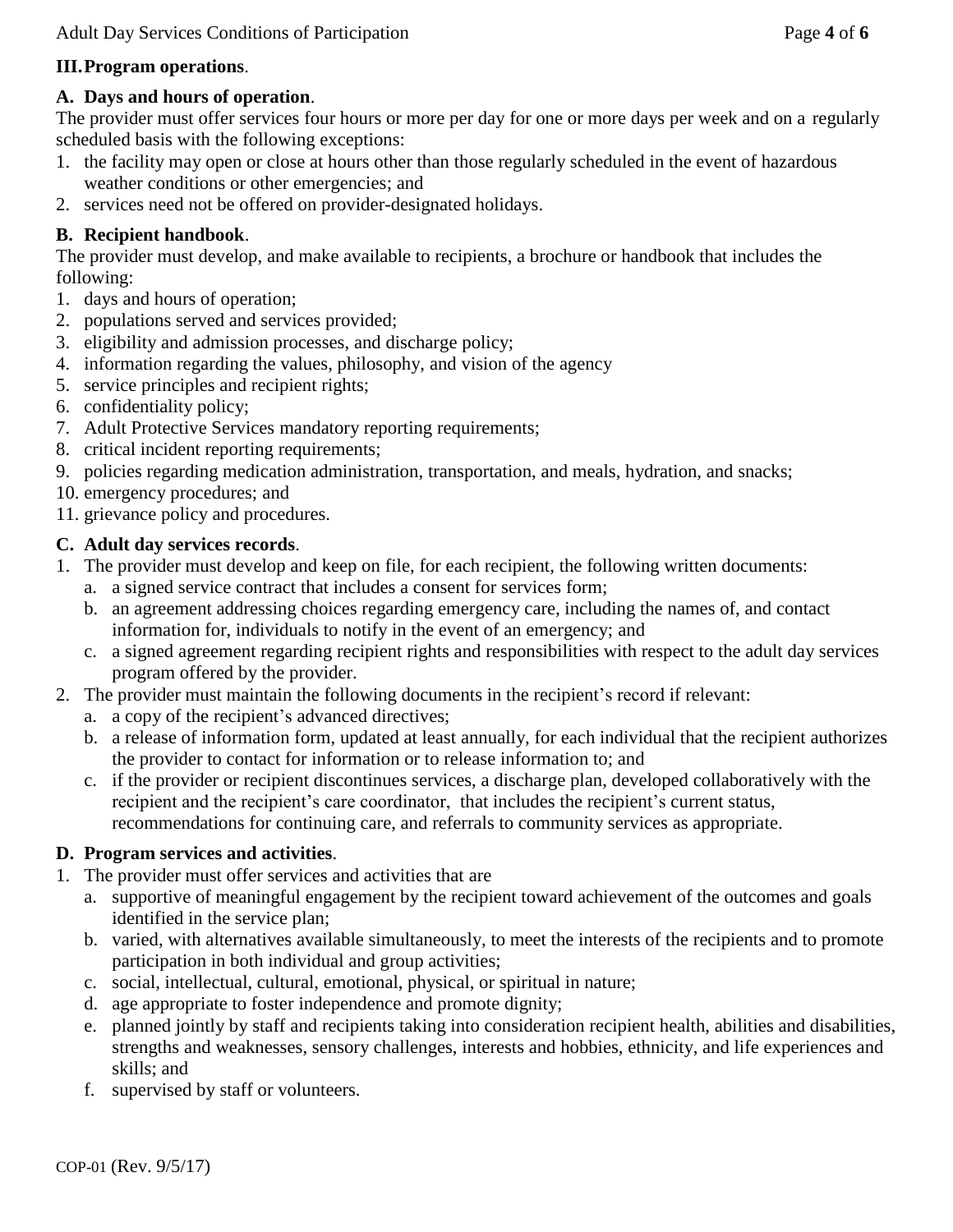#### **III.Program operations**.

#### **A. Days and hours of operation**.

The provider must offer services four hours or more per day for one or more days per week and on a regularly scheduled basis with the following exceptions:

- 1. the facility may open or close at hours other than those regularly scheduled in the event of hazardous weather conditions or other emergencies; and
- 2. services need not be offered on provider-designated holidays.

### **B. Recipient handbook**.

The provider must develop, and make available to recipients, a brochure or handbook that includes the following:

- 1. days and hours of operation;
- 2. populations served and services provided;
- 3. eligibility and admission processes, and discharge policy;
- 4. information regarding the values, philosophy, and vision of the agency
- 5. service principles and recipient rights;
- 6. confidentiality policy;
- 7. Adult Protective Services mandatory reporting requirements;
- 8. critical incident reporting requirements;
- 9. policies regarding medication administration, transportation, and meals, hydration, and snacks;
- 10. emergency procedures; and

11. grievance policy and procedures.

#### **C. Adult day services records**.

- 1. The provider must develop and keep on file, for each recipient, the following written documents:
	- a. a signed service contract that includes a consent for services form;
	- b. an agreement addressing choices regarding emergency care, including the names of, and contact information for, individuals to notify in the event of an emergency; and
	- c. a signed agreement regarding recipient rights and responsibilities with respect to the adult day services program offered by the provider.
- 2. The provider must maintain the following documents in the recipient's record if relevant:
	- a. a copy of the recipient's advanced directives;
	- b. a release of information form, updated at least annually, for each individual that the recipient authorizes the provider to contact for information or to release information to; and
	- c. if the provider or recipient discontinues services, a discharge plan, developed collaboratively with the recipient and the recipient's care coordinator, that includes the recipient's current status, recommendations for continuing care, and referrals to community services as appropriate.

### **D. Program services and activities**.

- 1. The provider must offer services and activities that are
	- a. supportive of meaningful engagement by the recipient toward achievement of the outcomes and goals identified in the service plan;
	- b. varied, with alternatives available simultaneously, to meet the interests of the recipients and to promote participation in both individual and group activities;
	- c. social, intellectual, cultural, emotional, physical, or spiritual in nature;
	- d. age appropriate to foster independence and promote dignity;
	- e. planned jointly by staff and recipients taking into consideration recipient health, abilities and disabilities, strengths and weaknesses, sensory challenges, interests and hobbies, ethnicity, and life experiences and skills; and
	- f. supervised by staff or volunteers.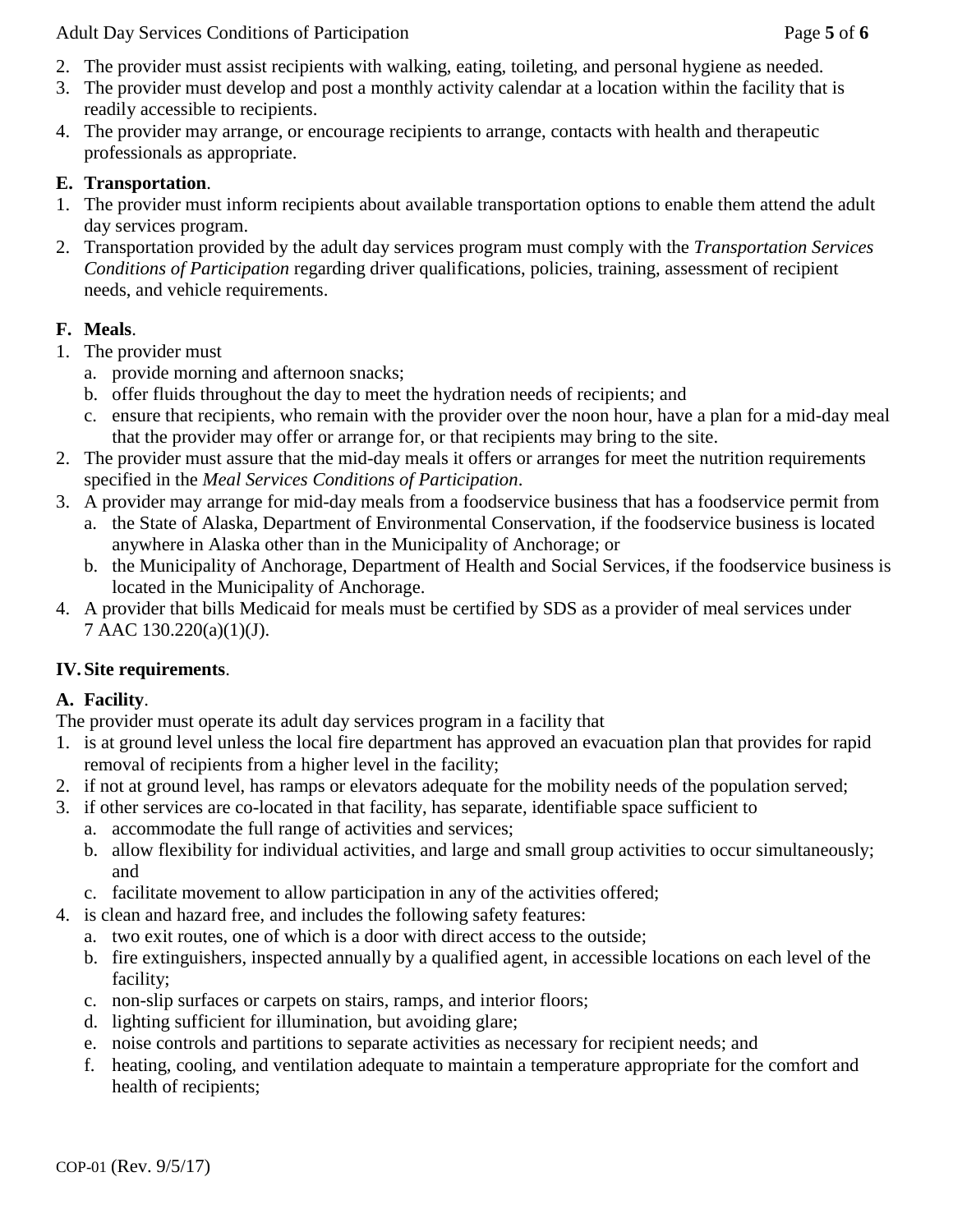Adult Day Services Conditions of Participation Page 5 of 6

- 2. The provider must assist recipients with walking, eating, toileting, and personal hygiene as needed.
- 3. The provider must develop and post a monthly activity calendar at a location within the facility that is readily accessible to recipients.
- 4. The provider may arrange, or encourage recipients to arrange, contacts with health and therapeutic professionals as appropriate.

### **E. Transportation**.

- 1. The provider must inform recipients about available transportation options to enable them attend the adult day services program.
- 2. Transportation provided by the adult day services program must comply with the *Transportation Services Conditions of Participation* regarding driver qualifications, policies, training, assessment of recipient needs, and vehicle requirements.

# **F. Meals**.

- 1. The provider must
	- a. provide morning and afternoon snacks;
	- b. offer fluids throughout the day to meet the hydration needs of recipients; and
	- c. ensure that recipients, who remain with the provider over the noon hour, have a plan for a mid-day meal that the provider may offer or arrange for, or that recipients may bring to the site.
- 2. The provider must assure that the mid-day meals it offers or arranges for meet the nutrition requirements specified in the *Meal Services Conditions of Participation*.
- 3. A provider may arrange for mid-day meals from a foodservice business that has a foodservice permit from
	- a. the State of Alaska, Department of Environmental Conservation, if the foodservice business is located anywhere in Alaska other than in the Municipality of Anchorage; or
	- b. the Municipality of Anchorage, Department of Health and Social Services, if the foodservice business is located in the Municipality of Anchorage.
- 4. A provider that bills Medicaid for meals must be certified by SDS as a provider of meal services under 7 AAC 130.220(a)(1)(J).

# **IV.Site requirements**.

# **A. Facility**.

The provider must operate its adult day services program in a facility that

- 1. is at ground level unless the local fire department has approved an evacuation plan that provides for rapid removal of recipients from a higher level in the facility;
- 2. if not at ground level, has ramps or elevators adequate for the mobility needs of the population served;
- 3. if other services are co-located in that facility, has separate, identifiable space sufficient to
	- a. accommodate the full range of activities and services;
	- b. allow flexibility for individual activities, and large and small group activities to occur simultaneously; and
	- c. facilitate movement to allow participation in any of the activities offered;
- 4. is clean and hazard free, and includes the following safety features:
	- a. two exit routes, one of which is a door with direct access to the outside;
	- b. fire extinguishers, inspected annually by a qualified agent, in accessible locations on each level of the facility;
	- c. non-slip surfaces or carpets on stairs, ramps, and interior floors;
	- d. lighting sufficient for illumination, but avoiding glare;
	- e. noise controls and partitions to separate activities as necessary for recipient needs; and
	- f. heating, cooling, and ventilation adequate to maintain a temperature appropriate for the comfort and health of recipients;